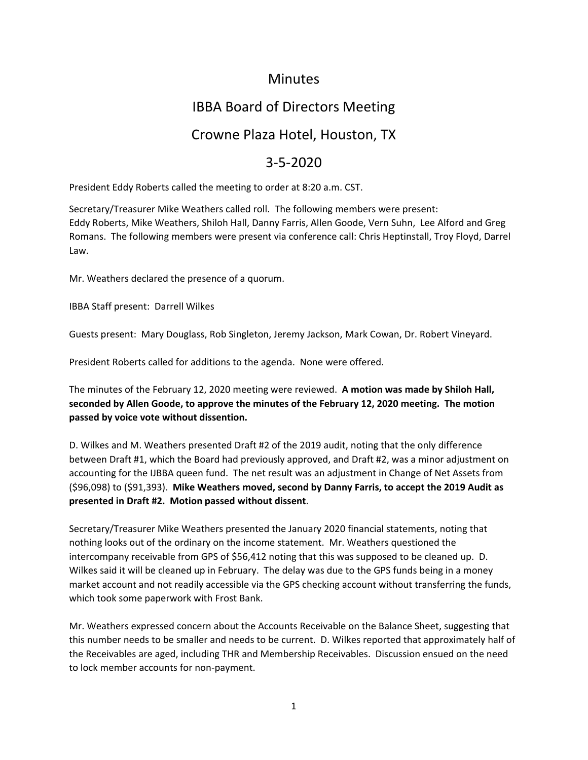### Minutes

# IBBA Board of Directors Meeting

### Crowne Plaza Hotel, Houston, TX

## 3‐5‐2020

President Eddy Roberts called the meeting to order at 8:20 a.m. CST.

Secretary/Treasurer Mike Weathers called roll. The following members were present: Eddy Roberts, Mike Weathers, Shiloh Hall, Danny Farris, Allen Goode, Vern Suhn, Lee Alford and Greg Romans. The following members were present via conference call: Chris Heptinstall, Troy Floyd, Darrel Law.

Mr. Weathers declared the presence of a quorum.

IBBA Staff present: Darrell Wilkes

Guests present: Mary Douglass, Rob Singleton, Jeremy Jackson, Mark Cowan, Dr. Robert Vineyard.

President Roberts called for additions to the agenda. None were offered.

The minutes of the February 12, 2020 meeting were reviewed. **A motion was made by Shiloh Hall, seconded by Allen Goode, to approve the minutes of the February 12, 2020 meeting. The motion passed by voice vote without dissention.**

D. Wilkes and M. Weathers presented Draft #2 of the 2019 audit, noting that the only difference between Draft #1, which the Board had previously approved, and Draft #2, was a minor adjustment on accounting for the IJBBA queen fund. The net result was an adjustment in Change of Net Assets from (\$96,098) to (\$91,393). **Mike Weathers moved, second by Danny Farris, to accept the 2019 Audit as presented in Draft #2. Motion passed without dissent**.

Secretary/Treasurer Mike Weathers presented the January 2020 financial statements, noting that nothing looks out of the ordinary on the income statement. Mr. Weathers questioned the intercompany receivable from GPS of \$56,412 noting that this was supposed to be cleaned up. D. Wilkes said it will be cleaned up in February. The delay was due to the GPS funds being in a money market account and not readily accessible via the GPS checking account without transferring the funds, which took some paperwork with Frost Bank.

Mr. Weathers expressed concern about the Accounts Receivable on the Balance Sheet, suggesting that this number needs to be smaller and needs to be current. D. Wilkes reported that approximately half of the Receivables are aged, including THR and Membership Receivables. Discussion ensued on the need to lock member accounts for non‐payment.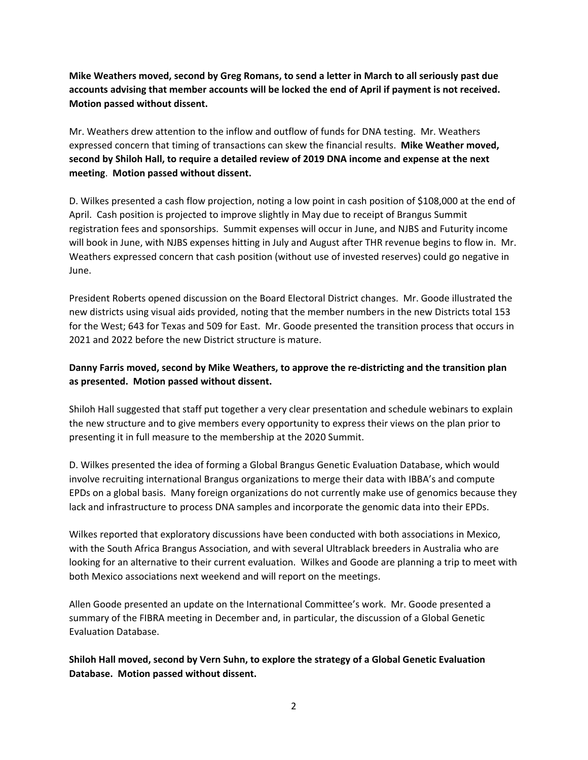**Mike Weathers moved, second by Greg Romans, to send a letter in March to all seriously past due** accounts advising that member accounts will be locked the end of April if payment is not received. **Motion passed without dissent.**

Mr. Weathers drew attention to the inflow and outflow of funds for DNA testing. Mr. Weathers expressed concern that timing of transactions can skew the financial results. **Mike Weather moved, second by Shiloh Hall, to require a detailed review of 2019 DNA income and expense at the next meeting**. **Motion passed without dissent.**

D. Wilkes presented a cash flow projection, noting a low point in cash position of \$108,000 at the end of April. Cash position is projected to improve slightly in May due to receipt of Brangus Summit registration fees and sponsorships. Summit expenses will occur in June, and NJBS and Futurity income will book in June, with NJBS expenses hitting in July and August after THR revenue begins to flow in. Mr. Weathers expressed concern that cash position (without use of invested reserves) could go negative in June.

President Roberts opened discussion on the Board Electoral District changes. Mr. Goode illustrated the new districts using visual aids provided, noting that the member numbers in the new Districts total 153 for the West; 643 for Texas and 509 for East. Mr. Goode presented the transition process that occurs in 2021 and 2022 before the new District structure is mature.

#### **Danny Farris moved, second by Mike Weathers, to approve the re‐districting and the transition plan as presented. Motion passed without dissent.**

Shiloh Hall suggested that staff put together a very clear presentation and schedule webinars to explain the new structure and to give members every opportunity to express their views on the plan prior to presenting it in full measure to the membership at the 2020 Summit.

D. Wilkes presented the idea of forming a Global Brangus Genetic Evaluation Database, which would involve recruiting international Brangus organizations to merge their data with IBBA's and compute EPDs on a global basis. Many foreign organizations do not currently make use of genomics because they lack and infrastructure to process DNA samples and incorporate the genomic data into their EPDs.

Wilkes reported that exploratory discussions have been conducted with both associations in Mexico, with the South Africa Brangus Association, and with several Ultrablack breeders in Australia who are looking for an alternative to their current evaluation. Wilkes and Goode are planning a trip to meet with both Mexico associations next weekend and will report on the meetings.

Allen Goode presented an update on the International Committee's work. Mr. Goode presented a summary of the FIBRA meeting in December and, in particular, the discussion of a Global Genetic Evaluation Database.

**Shiloh Hall moved, second by Vern Suhn, to explore the strategy of a Global Genetic Evaluation Database. Motion passed without dissent.**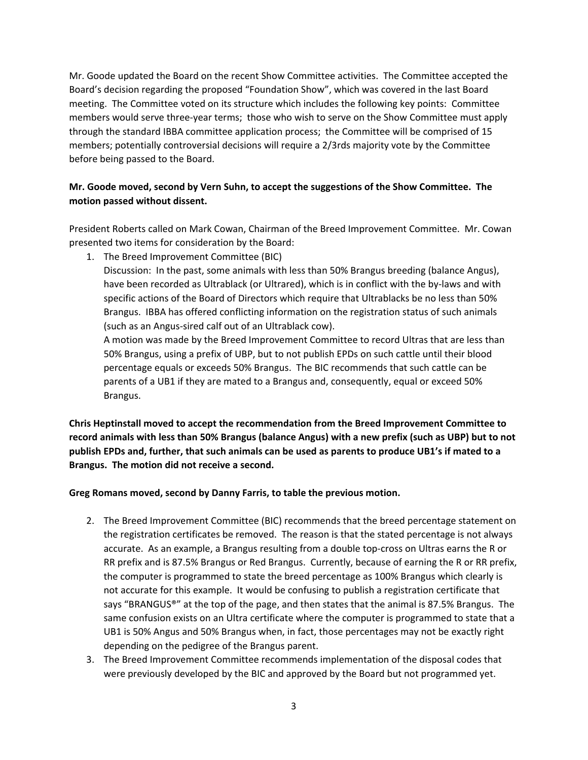Mr. Goode updated the Board on the recent Show Committee activities. The Committee accepted the Board's decision regarding the proposed "Foundation Show", which was covered in the last Board meeting. The Committee voted on its structure which includes the following key points: Committee members would serve three-year terms; those who wish to serve on the Show Committee must apply through the standard IBBA committee application process; the Committee will be comprised of 15 members; potentially controversial decisions will require a 2/3rds majority vote by the Committee before being passed to the Board.

### **Mr. Goode moved, second by Vern Suhn, to accept the suggestions of the Show Committee. The motion passed without dissent.**

President Roberts called on Mark Cowan, Chairman of the Breed Improvement Committee. Mr. Cowan presented two items for consideration by the Board:

1. The Breed Improvement Committee (BIC)

Discussion: In the past, some animals with less than 50% Brangus breeding (balance Angus), have been recorded as Ultrablack (or Ultrared), which is in conflict with the by-laws and with specific actions of the Board of Directors which require that Ultrablacks be no less than 50% Brangus. IBBA has offered conflicting information on the registration status of such animals (such as an Angus‐sired calf out of an Ultrablack cow).

A motion was made by the Breed Improvement Committee to record Ultras that are less than 50% Brangus, using a prefix of UBP, but to not publish EPDs on such cattle until their blood percentage equals or exceeds 50% Brangus. The BIC recommends that such cattle can be parents of a UB1 if they are mated to a Brangus and, consequently, equal or exceed 50% Brangus.

**Chris Heptinstall moved to accept the recommendation from the Breed Improvement Committee to** record animals with less than 50% Brangus (balance Angus) with a new prefix (such as UBP) but to not publish EPDs and, further, that such animals can be used as parents to produce UB1's if mated to a **Brangus. The motion did not receive a second.**

#### **Greg Romans moved, second by Danny Farris, to table the previous motion.**

- 2. The Breed Improvement Committee (BIC) recommends that the breed percentage statement on the registration certificates be removed. The reason is that the stated percentage is not always accurate. As an example, a Brangus resulting from a double top‐cross on Ultras earns the R or RR prefix and is 87.5% Brangus or Red Brangus. Currently, because of earning the R or RR prefix, the computer is programmed to state the breed percentage as 100% Brangus which clearly is not accurate for this example. It would be confusing to publish a registration certificate that says "BRANGUS®" at the top of the page, and then states that the animal is 87.5% Brangus. The same confusion exists on an Ultra certificate where the computer is programmed to state that a UB1 is 50% Angus and 50% Brangus when, in fact, those percentages may not be exactly right depending on the pedigree of the Brangus parent.
- 3. The Breed Improvement Committee recommends implementation of the disposal codes that were previously developed by the BIC and approved by the Board but not programmed yet.